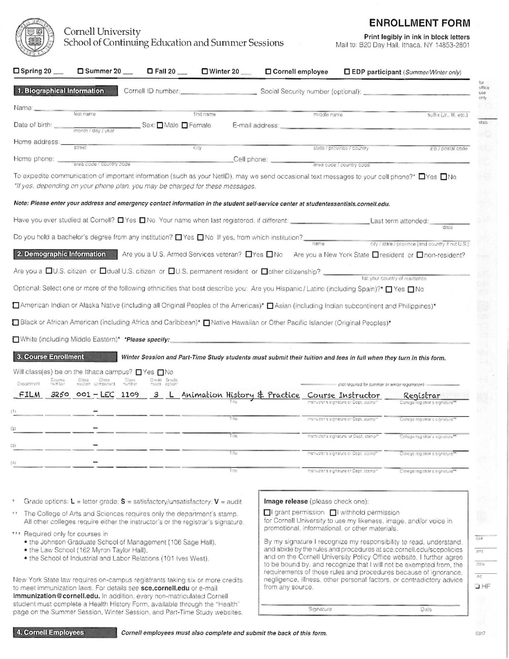# ENROLLMENT FORM

|                                                                                                                                                                                                                                                                                                                                                                                                                                                                                                                                   | Cornell University                         | School of Continuing Education and Summer Sessions                                                                                                                                                                                                 |                  |                                                                                                                                                                                                                                                                                                          | <b>ENROLLMENT FORM</b><br>Print legibly in ink in block letters<br>Mail to: B20 Day Hall, Ithaca, NY 14853-2801 |
|-----------------------------------------------------------------------------------------------------------------------------------------------------------------------------------------------------------------------------------------------------------------------------------------------------------------------------------------------------------------------------------------------------------------------------------------------------------------------------------------------------------------------------------|--------------------------------------------|----------------------------------------------------------------------------------------------------------------------------------------------------------------------------------------------------------------------------------------------------|------------------|----------------------------------------------------------------------------------------------------------------------------------------------------------------------------------------------------------------------------------------------------------------------------------------------------------|-----------------------------------------------------------------------------------------------------------------|
|                                                                                                                                                                                                                                                                                                                                                                                                                                                                                                                                   |                                            | □ Summer 20 _   □ Fall 20 _   □ Winter 20 _                                                                                                                                                                                                        | Cornell employee |                                                                                                                                                                                                                                                                                                          | <b>DEDP</b> participant (Summer/Winter only)                                                                    |
|                                                                                                                                                                                                                                                                                                                                                                                                                                                                                                                                   |                                            | first name                                                                                                                                                                                                                                         |                  | Cornell ID number: Social Security number (optional): Cornell ID number:<br>middle name                                                                                                                                                                                                                  | suffix (Jr., Ill. etc.)                                                                                         |
|                                                                                                                                                                                                                                                                                                                                                                                                                                                                                                                                   |                                            | Sex: Male Female                                                                                                                                                                                                                                   |                  | E-mail address: etc. and a strategy and a strategy of the strategy of the strategy of the strategy of the strategy of the strategy of the strategy of the strategy of the strategy of the strategy of the strategy of the stra                                                                           |                                                                                                                 |
| street                                                                                                                                                                                                                                                                                                                                                                                                                                                                                                                            | area code / country code                   | City :<br>the property of the company's company's company's company's company's company's                                                                                                                                                          |                  | state / province / country<br>Cell phone: area code / country code<br>To expedite communication of important information (such as your NetID), may we send occasional text messages to your cell phone? <sup>*</sup> □Yes □No                                                                            | zip / postal code                                                                                               |
|                                                                                                                                                                                                                                                                                                                                                                                                                                                                                                                                   |                                            | *If yes, depending on your phone plan, you may be charged for these messages.                                                                                                                                                                      |                  | Note: Please enter your address and emergency contact information in the student self-service center at studentessentials.cornell.edu.                                                                                                                                                                   |                                                                                                                 |
|                                                                                                                                                                                                                                                                                                                                                                                                                                                                                                                                   |                                            |                                                                                                                                                                                                                                                    |                  | Have you ever studied at Cornell? O Yes O No Your name when last registered, if different: Last no Last term attended:                                                                                                                                                                                   | date                                                                                                            |
|                                                                                                                                                                                                                                                                                                                                                                                                                                                                                                                                   |                                            |                                                                                                                                                                                                                                                    |                  | Do you hold a bachelor's degree from any institution? TYes TNo If yes, from which institution?<br>name electrically / state / province (and country if not U.S.)<br>2. Demographic Information Are you a U.S. Armed Services veteran? TYes TNo Are you a New York State Tresident or Inon-resident?      |                                                                                                                 |
|                                                                                                                                                                                                                                                                                                                                                                                                                                                                                                                                   |                                            |                                                                                                                                                                                                                                                    |                  | Are you a <b>OU.S.</b> citizen or <b>Odual U.S.</b> citizen or OU.S. permanent resident or Oother citizenship? ____________ list your country of residence<br>Optional: Select one or more of the following ethnicities that best describe you: Are you Hispanic / Latino (including Spain)?* □ Yes □ No |                                                                                                                 |
|                                                                                                                                                                                                                                                                                                                                                                                                                                                                                                                                   |                                            |                                                                                                                                                                                                                                                    |                  | □ American Indian or Alaska Native (including all Original Peoples of the Americas)* □ Asian (including Indian subcontinent and Philippines)*<br>□ Black or African American (including Africa and Caribbean)* □ Native Hawaiian or Other Pacific Islander (Original Peoples)*                           |                                                                                                                 |
|                                                                                                                                                                                                                                                                                                                                                                                                                                                                                                                                   |                                            |                                                                                                                                                                                                                                                    |                  |                                                                                                                                                                                                                                                                                                          |                                                                                                                 |
| Course<br>Class                                                                                                                                                                                                                                                                                                                                                                                                                                                                                                                   | Class<br>Class                             | Credit Grade                                                                                                                                                                                                                                       |                  | Winter Session and Part-Time Study students must submit their tuition and fees in full when they turn in this form.                                                                                                                                                                                      |                                                                                                                 |
| number<br>section<br>3250                                                                                                                                                                                                                                                                                                                                                                                                                                                                                                         | component<br>number<br>$001 - LEC$<br>1109 | option?<br>nours<br>3                                                                                                                                                                                                                              |                  | (not required for summer or winter registration)<br>Animation History & Practice Course Instructor<br>Instructor's signature or Dept. stamp"                                                                                                                                                             | Registrar<br>College registrar's signature**                                                                    |
|                                                                                                                                                                                                                                                                                                                                                                                                                                                                                                                                   |                                            |                                                                                                                                                                                                                                                    | T Big<br>Title   | Instructor's signature or Dept. stamp*<br>Instructor's signature or Dept. stamp*                                                                                                                                                                                                                         | College registrar's signature"<br><sup>ro</sup> ollege registraria signature <sup>m</sup>                       |
|                                                                                                                                                                                                                                                                                                                                                                                                                                                                                                                                   |                                            |                                                                                                                                                                                                                                                    | Tale<br>Title    | Instructor's signature or Dept. stamp"<br>Instructor's signature or Dept. stamp"                                                                                                                                                                                                                         | College registraris signature <sup>111</sup><br>College registraris signature***                                |
|                                                                                                                                                                                                                                                                                                                                                                                                                                                                                                                                   |                                            |                                                                                                                                                                                                                                                    |                  |                                                                                                                                                                                                                                                                                                          |                                                                                                                 |
| $\square$ Spring 20 $\_\_$<br>1. Biographical Information<br>Name <b>and Contact Contact Contact Contact Contact Contact Contact Contact Contact Contact Contact Contact Contact Contact Contact Contact Contact Contact Contact Contact Contact Contact Contact Contact Contact Contact Cont</b><br>Date of birth: month / day / year<br>Home address.<br>Home phone: _<br>□White (including Middle Eastern)* *Please specify:<br>3. Course Enrollment<br>Will class(es) be on the Ithaca campus? TYes TNo<br>Department<br>FILM |                                            | Grade options: $L =$ letter grade; $S =$ satisfactory/unsatisfactory; $V =$ audit<br>** The College of Arts and Sciences requires only the department's stamp.<br>All other colleges require either the instructor's or the registrar's signature. |                  | Image release (please check one):<br>□I grant permission □I withhold permission<br>for Cornell University to use my likeness, image, and/or voice in<br>promotional, informational, or other materials.                                                                                                  |                                                                                                                 |
| *** Required only for courses in<br>. the Johnson Graduate School of Management (106 Sage Hall),<br>. the Law School (162 Myron Taylor Hall),                                                                                                                                                                                                                                                                                                                                                                                     |                                            |                                                                                                                                                                                                                                                    |                  | By my signature I recognize my responsibility to read, understand.<br>and abide by the rules and procedures at sce.cornell.edu/scepolicies                                                                                                                                                               | CK#<br>amt                                                                                                      |
| . the School of Industrial and Labor Relations (101 Ives West).<br>to meet immunization laws. For details see sce.cornell.edu or e-mail                                                                                                                                                                                                                                                                                                                                                                                           |                                            | New York State law requires on-campus registrants taking six or more credits                                                                                                                                                                       | from any source. | and on the Cornell University Policy Office website. I further agree<br>to be bound by, and recognize that I will not be exempted from, the<br>requirements of those rules and procedures because of ignorance,<br>negligence, illness, other personal factors, or contradictory advice                  | date<br>int<br>$I$ HF                                                                                           |